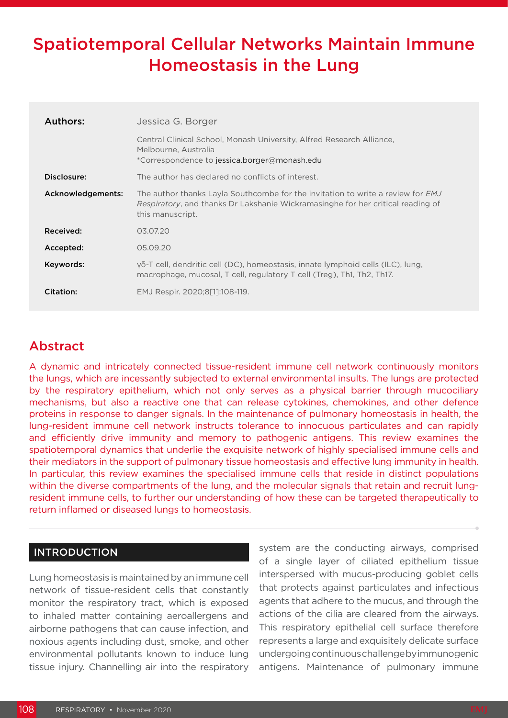# Spatiotemporal Cellular Networks Maintain Immune Homeostasis in the Lung

| Authors:          | Jessica G. Borger                                                                                                                                                                      |
|-------------------|----------------------------------------------------------------------------------------------------------------------------------------------------------------------------------------|
|                   | Central Clinical School, Monash University, Alfred Research Alliance,<br>Melbourne, Australia<br>*Correspondence to jessica.borger@monash.edu                                          |
| Disclosure:       | The author has declared no conflicts of interest.                                                                                                                                      |
| Acknowledgements: | The author thanks Layla Southcombe for the invitation to write a review for EMJ<br>Respiratory, and thanks Dr Lakshanie Wickramasinghe for her critical reading of<br>this manuscript. |
| Received:         | 03.07.20                                                                                                                                                                               |
| Accepted:         | 05.09.20                                                                                                                                                                               |
| Keywords:         | γδ-T cell, dendritic cell (DC), homeostasis, innate lymphoid cells (ILC), lung,<br>macrophage, mucosal, T cell, regulatory T cell (Treg), Th1, Th2, Th17.                              |
| Citation:         | EMJ Respir. 2020;8[1]:108-119.                                                                                                                                                         |

# Abstract

A dynamic and intricately connected tissue-resident immune cell network continuously monitors the lungs, which are incessantly subjected to external environmental insults. The lungs are protected by the respiratory epithelium, which not only serves as a physical barrier through mucociliary mechanisms, but also a reactive one that can release cytokines, chemokines, and other defence proteins in response to danger signals. In the maintenance of pulmonary homeostasis in health, the lung-resident immune cell network instructs tolerance to innocuous particulates and can rapidly and efficiently drive immunity and memory to pathogenic antigens. This review examines the spatiotemporal dynamics that underlie the exquisite network of highly specialised immune cells and their mediators in the support of pulmonary tissue homeostasis and effective lung immunity in health. In particular, this review examines the specialised immune cells that reside in distinct populations within the diverse compartments of the lung, and the molecular signals that retain and recruit lungresident immune cells, to further our understanding of how these can be targeted therapeutically to return inflamed or diseased lungs to homeostasis.

# INTRODUCTION

Lung homeostasis is maintained by an immune cell network of tissue-resident cells that constantly monitor the respiratory tract, which is exposed to inhaled matter containing aeroallergens and airborne pathogens that can cause infection, and noxious agents including dust, smoke, and other environmental pollutants known to induce lung tissue injury. Channelling air into the respiratory system are the conducting airways, comprised of a single layer of ciliated epithelium tissue interspersed with mucus-producing goblet cells that protects against particulates and infectious agents that adhere to the mucus, and through the actions of the cilia are cleared from the airways. This respiratory epithelial cell surface therefore represents a large and exquisitely delicate surface undergoing continuous challenge by immunogenic antigens. Maintenance of pulmonary immune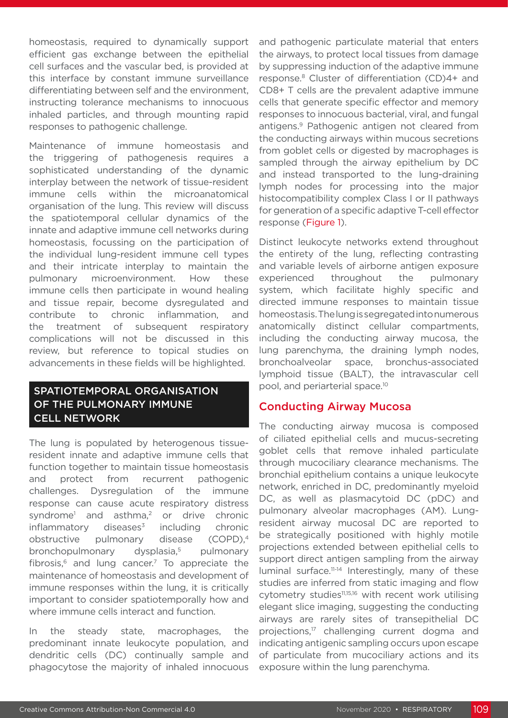homeostasis, required to dynamically support efficient gas exchange between the epithelial cell surfaces and the vascular bed, is provided at this interface by constant immune surveillance differentiating between self and the environment, instructing tolerance mechanisms to innocuous inhaled particles, and through mounting rapid responses to pathogenic challenge.

Maintenance of immune homeostasis and the triggering of pathogenesis requires a sophisticated understanding of the dynamic interplay between the network of tissue-resident immune cells within the microanatomical organisation of the lung. This review will discuss the spatiotemporal cellular dynamics of the innate and adaptive immune cell networks during homeostasis, focussing on the participation of the individual lung-resident immune cell types and their intricate interplay to maintain the pulmonary microenvironment. How these immune cells then participate in wound healing and tissue repair, become dysregulated and contribute to chronic inflammation, and the treatment of subsequent respiratory complications will not be discussed in this review, but reference to topical studies on advancements in these fields will be highlighted.

# SPATIOTEMPORAL ORGANISATION OF THE PULMONARY IMMUNE CELL NETWORK

The lung is populated by heterogenous tissueresident innate and adaptive immune cells that function together to maintain tissue homeostasis and protect from recurrent pathogenic challenges. Dysregulation of the immune response can cause acute respiratory distress syndrome<sup>1</sup> and asthma,<sup>2</sup> or drive chronic  $inflammatory$  diseases<sup>3</sup> including chronic obstructive pulmonary disease (COPD),4 bronchopulmonary dysplasia,<sup>5</sup> pulmonary fibrosis, $6$  and lung cancer.<sup>7</sup> To appreciate the maintenance of homeostasis and development of immune responses within the lung, it is critically important to consider spatiotemporally how and where immune cells interact and function.

In the steady state, macrophages, the predominant innate leukocyte population, and dendritic cells (DC) continually sample and phagocytose the majority of inhaled innocuous and pathogenic particulate material that enters the airways, to protect local tissues from damage by suppressing induction of the adaptive immune response.8 Cluster of differentiation (CD)4+ and CD8+ T cells are the prevalent adaptive immune cells that generate specific effector and memory responses to innocuous bacterial, viral, and fungal antigens.9 Pathogenic antigen not cleared from the conducting airways within mucous secretions from goblet cells or digested by macrophages is sampled through the airway epithelium by DC and instead transported to the lung-draining lymph nodes for processing into the major histocompatibility complex Class I or II pathways for generation of a specific adaptive T-cell effector response (Figure 1).

Distinct leukocyte networks extend throughout the entirety of the lung, reflecting contrasting and variable levels of airborne antigen exposure experienced throughout the pulmonary system, which facilitate highly specific and directed immune responses to maintain tissue homeostasis. The lung is segregated into numerous anatomically distinct cellular compartments, including the conducting airway mucosa, the lung parenchyma, the draining lymph nodes, bronchoalveolar space, bronchus-associated lymphoid tissue (BALT), the intravascular cell pool, and periarterial space.10

# Conducting Airway Mucosa

The conducting airway mucosa is composed of ciliated epithelial cells and mucus-secreting goblet cells that remove inhaled particulate through mucociliary clearance mechanisms. The bronchial epithelium contains a unique leukocyte network, enriched in DC, predominantly myeloid DC, as well as plasmacytoid DC (pDC) and pulmonary alveolar macrophages (AM). Lungresident airway mucosal DC are reported to be strategically positioned with highly motile projections extended between epithelial cells to support direct antigen sampling from the airway luminal surface.<sup>11-14</sup> Interestingly, many of these studies are inferred from static imaging and flow cytometry studies<sup>11,15,16</sup> with recent work utilising elegant slice imaging, suggesting the conducting airways are rarely sites of transepithelial DC projections,<sup>17</sup> challenging current dogma and indicating antigenic sampling occurs upon escape of particulate from mucociliary actions and its exposure within the lung parenchyma.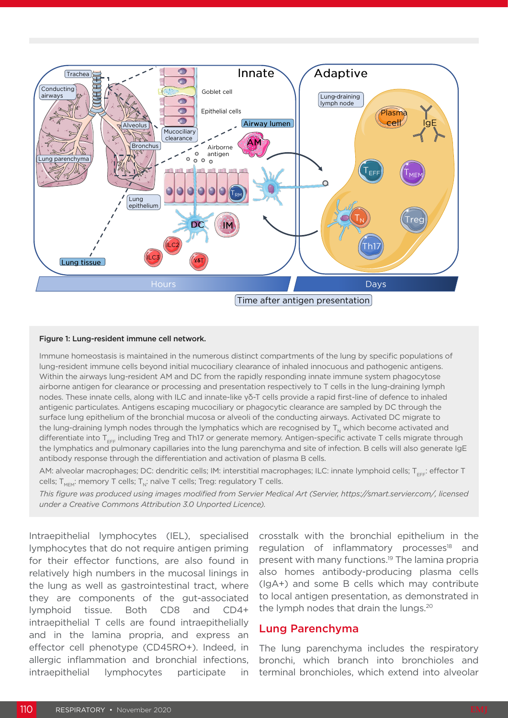

#### Figure 1: Lung-resident immune cell network.

Immune homeostasis is maintained in the numerous distinct compartments of the lung by specific populations of lung-resident immune cells beyond initial mucociliary clearance of inhaled innocuous and pathogenic antigens. Within the airways lung-resident AM and DC from the rapidly responding innate immune system phagocytose airborne antigen for clearance or processing and presentation respectively to T cells in the lung-draining lymph nodes. These innate cells, along with ILC and innate-like γδ-T cells provide a rapid first-line of defence to inhaled antigenic particulates. Antigens escaping mucociliary or phagocytic clearance are sampled by DC through the surface lung epithelium of the bronchial mucosa or alveoli of the conducting airways. Activated DC migrate to the lung-draining lymph nodes through the lymphatics which are recognised by  $T_{N}$  which become activated and differentiate into  $T_{\text{eff}}$  including Treg and Th17 or generate memory. Antigen-specific activate T cells migrate through the lymphatics and pulmonary capillaries into the lung parenchyma and site of infection. B cells will also generate IgE antibody response through the differentiation and activation of plasma B cells.

AM: alveolar macrophages; DC: dendritic cells; IM: interstitial macrophages; ILC: innate lymphoid cells; T<sub>EFF</sub>: effector T cells;  $T_{MEM}$ : memory T cells;  $T_{N}$ : naïve T cells; Treg: regulatory T cells.

*This figure was produced using images modified from Servier Medical Art (Servier, https://smart.servier.com/, licensed under a Creative Commons Attribution 3.0 Unported Licence).*

Intraepithelial lymphocytes (IEL), specialised lymphocytes that do not require antigen priming for their effector functions, are also found in relatively high numbers in the mucosal linings in the lung as well as gastrointestinal tract, where they are components of the gut-associated lymphoid tissue. Both CD8 and CD4+ intraepithelial T cells are found intraepithelially and in the lamina propria, and express an effector cell phenotype (CD45RO+). Indeed, in allergic inflammation and bronchial infections, intraepithelial lymphocytes participate in crosstalk with the bronchial epithelium in the regulation of inflammatory processes<sup>18</sup> and present with many functions.<sup>19</sup> The lamina propria also homes antibody-producing plasma cells (IgA+) and some B cells which may contribute to local antigen presentation, as demonstrated in the lymph nodes that drain the lungs.<sup>20</sup>

### Lung Parenchyma

The lung parenchyma includes the respiratory bronchi, which branch into bronchioles and terminal bronchioles, which extend into alveolar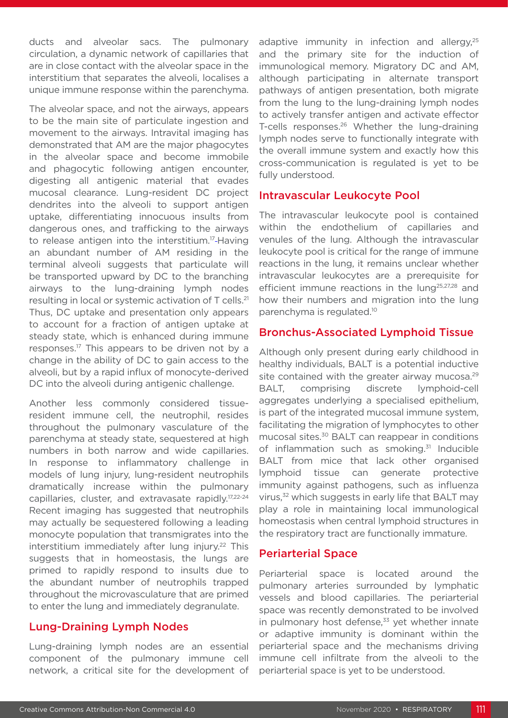ducts and alveolar sacs. The pulmonary circulation, a dynamic network of capillaries that are in close contact with the alveolar space in the interstitium that separates the alveoli, localises a unique immune response within the parenchyma.

The alveolar space, and not the airways, appears to be the main site of particulate ingestion and movement to the airways. Intravital imaging has demonstrated that AM are the major phagocytes in the alveolar space and become immobile and phagocytic following antigen encounter, digesting all antigenic material that evades mucosal clearance. Lung-resident DC project dendrites into the alveoli to support antigen uptake, differentiating innocuous insults from dangerous ones, and trafficking to the airways to release antigen into the interstitium.<sup>17</sup>-Having an abundant number of AM residing in the terminal alveoli suggests that particulate will be transported upward by DC to the branching airways to the lung-draining lymph nodes resulting in local or systemic activation of T cells.21 Thus, DC uptake and presentation only appears to account for a fraction of antigen uptake at steady state, which is enhanced during immune responses.17 This appears to be driven not by a change in the ability of DC to gain access to the alveoli, but by a rapid influx of monocyte-derived DC into the alveoli during antigenic challenge.

Another less commonly considered tissueresident immune cell, the neutrophil, resides throughout the pulmonary vasculature of the parenchyma at steady state, sequestered at high numbers in both narrow and wide capillaries. In response to inflammatory challenge in models of lung injury, lung-resident neutrophils dramatically increase within the pulmonary capillaries, cluster, and extravasate rapidly.17,22-24 Recent imaging has suggested that neutrophils may actually be sequestered following a leading monocyte population that transmigrates into the interstitium immediately after lung injury.<sup>22</sup> This suggests that in homeostasis, the lungs are primed to rapidly respond to insults due to the abundant number of neutrophils trapped throughout the microvasculature that are primed to enter the lung and immediately degranulate.

# Lung-Draining Lymph Nodes

Lung-draining lymph nodes are an essential component of the pulmonary immune cell network, a critical site for the development of adaptive immunity in infection and allergy, $25$ and the primary site for the induction of immunological memory. Migratory DC and AM, although participating in alternate transport pathways of antigen presentation, both migrate from the lung to the lung-draining lymph nodes to actively transfer antigen and activate effector T-cells responses.<sup>26</sup> Whether the lung-draining lymph nodes serve to functionally integrate with the overall immune system and exactly how this cross-communication is regulated is yet to be fully understood.

### Intravascular Leukocyte Pool

The intravascular leukocyte pool is contained within the endothelium of capillaries and venules of the lung. Although the intravascular leukocyte pool is critical for the range of immune reactions in the lung, it remains unclear whether intravascular leukocytes are a prerequisite for efficient immune reactions in the lung<sup>25,27,28</sup> and how their numbers and migration into the lung parenchyma is regulated.10

# Bronchus-Associated Lymphoid Tissue

Although only present during early childhood in healthy individuals, BALT is a potential inductive site contained with the greater airway mucosa.<sup>29</sup> BALT, comprising discrete lymphoid-cell aggregates underlying a specialised epithelium, is part of the integrated mucosal immune system, facilitating the migration of lymphocytes to other mucosal sites.30 BALT can reappear in conditions of inflammation such as smoking.<sup>31</sup> Inducible BALT from mice that lack other organised lymphoid tissue can generate protective immunity against pathogens, such as influenza virus,<sup>32</sup> which suggests in early life that BALT may play a role in maintaining local immunological homeostasis when central lymphoid structures in the respiratory tract are functionally immature.

# Periarterial Space

Periarterial space is located around the pulmonary arteries surrounded by lymphatic vessels and blood capillaries. The periarterial space was recently demonstrated to be involved in pulmonary host defense, $33$  yet whether innate or adaptive immunity is dominant within the periarterial space and the mechanisms driving immune cell infiltrate from the alveoli to the periarterial space is yet to be understood.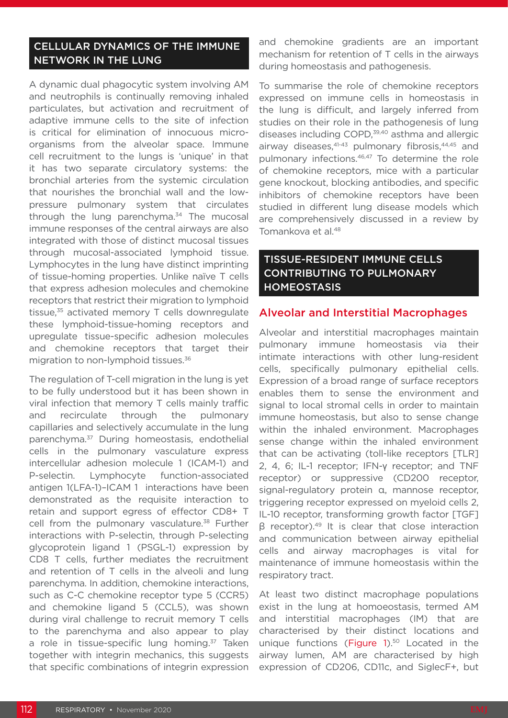# CELLULAR DYNAMICS OF THE IMMUNE NETWORK IN THE LUNG

A dynamic dual phagocytic system involving AM and neutrophils is continually removing inhaled particulates, but activation and recruitment of adaptive immune cells to the site of infection is critical for elimination of innocuous microorganisms from the alveolar space. Immune cell recruitment to the lungs is 'unique' in that it has two separate circulatory systems: the bronchial arteries from the systemic circulation that nourishes the bronchial wall and the lowpressure pulmonary system that circulates through the lung parenchyma.<sup>34</sup> The mucosal immune responses of the central airways are also integrated with those of distinct mucosal tissues through mucosal-associated lymphoid tissue. Lymphocytes in the lung have distinct imprinting of tissue-homing properties. Unlike naïve T cells that express adhesion molecules and chemokine receptors that restrict their migration to lymphoid tissue, $35$  activated memory T cells downregulate these lymphoid-tissue-homing receptors and upregulate tissue-specific adhesion molecules and chemokine receptors that target their migration to non-lymphoid tissues.<sup>36</sup>

The regulation of T-cell migration in the lung is yet to be fully understood but it has been shown in viral infection that memory T cells mainly traffic and recirculate through the pulmonary capillaries and selectively accumulate in the lung parenchyma.37 During homeostasis, endothelial cells in the pulmonary vasculature express intercellular adhesion molecule 1 (ICAM-1) and P-selectin. Lymphocyte function-associated antigen 1(LFA-1)–ICAM 1 interactions have been demonstrated as the requisite interaction to retain and support egress of effector CD8+ T cell from the pulmonary vasculature.<sup>38</sup> Further interactions with P-selectin, through P-selecting glycoprotein ligand 1 (PSGL-1) expression by CD8 T cells, further mediates the recruitment and retention of T cells in the alveoli and lung parenchyma. In addition, chemokine interactions, such as C-C chemokine receptor type 5 (CCR5) and chemokine ligand 5 (CCL5), was shown during viral challenge to recruit memory T cells to the parenchyma and also appear to play a role in tissue-specific lung homing.<sup>37</sup> Taken together with integrin mechanics, this suggests that specific combinations of integrin expression

and chemokine gradients are an important mechanism for retention of T cells in the airways during homeostasis and pathogenesis.

To summarise the role of chemokine receptors expressed on immune cells in homeostasis in the lung is difficult, and largely inferred from studies on their role in the pathogenesis of lung diseases including COPD,<sup>39,40</sup> asthma and allergic airway diseases, 41-43 pulmonary fibrosis, 44,45 and pulmonary infections.<sup>46,47</sup> To determine the role of chemokine receptors, mice with a particular gene knockout, blocking antibodies, and specific inhibitors of chemokine receptors have been studied in different lung disease models which are comprehensively discussed in a review by Tomankova et al.<sup>48</sup>

# TISSUE-RESIDENT IMMUNE CELLS CONTRIBUTING TO PULMONARY **HOMEOSTASIS**

### Alveolar and Interstitial Macrophages

Alveolar and interstitial macrophages maintain pulmonary immune homeostasis via their intimate interactions with other lung-resident cells, specifically pulmonary epithelial cells. Expression of a broad range of surface receptors enables them to sense the environment and signal to local stromal cells in order to maintain immune homeostasis, but also to sense change within the inhaled environment. Macrophages sense change within the inhaled environment that can be activating (toll-like receptors [TLR] 2, 4, 6; IL-1 receptor; IFN-γ receptor; and TNF receptor) or suppressive (CD200 receptor, signal-regulatory protein α, mannose receptor, triggering receptor expressed on myeloid cells 2, IL-10 receptor, transforming growth factor [TGF]  $β$  receptor).<sup>49</sup> It is clear that close interaction and communication between airway epithelial cells and airway macrophages is vital for maintenance of immune homeostasis within the respiratory tract.

At least two distinct macrophage populations exist in the lung at homoeostasis, termed AM and interstitial macrophages (IM) that are characterised by their distinct locations and unique functions (Figure 1).<sup>50</sup> Located in the airway lumen, AM are characterised by high expression of CD206, CD11c, and SiglecF+, but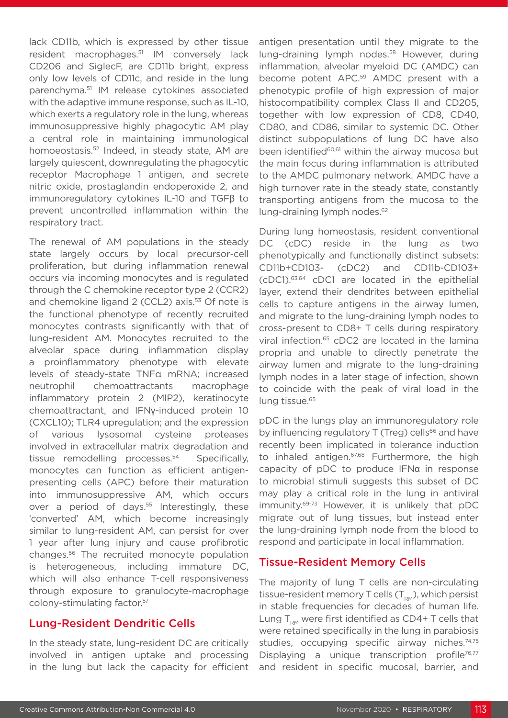lack CD11b, which is expressed by other tissue resident macrophages.51 IM conversely lack CD206 and SiglecF, are CD11b bright, express only low levels of CD11c, and reside in the lung parenchyma.51 IM release cytokines associated with the adaptive immune response, such as IL-10, which exerts a regulatory role in the lung, whereas immunosuppressive highly phagocytic AM play a central role in maintaining immunological homoeostasis.<sup>52</sup> Indeed, in steady state, AM are largely quiescent, downregulating the phagocytic receptor Macrophage 1 antigen, and secrete nitric oxide, prostaglandin endoperoxide 2, and immunoregulatory cytokines IL-10 and TGFβ to prevent uncontrolled inflammation within the respiratory tract.

The renewal of AM populations in the steady state largely occurs by local precursor-cell proliferation, but during inflammation renewal occurs via incoming monocytes and is regulated through the C chemokine receptor type 2 (CCR2) and chemokine ligand 2 (CCL2) axis.<sup>53</sup> Of note is the functional phenotype of recently recruited monocytes contrasts significantly with that of lung-resident AM. Monocytes recruited to the alveolar space during inflammation display a proinflammatory phenotype with elevate levels of steady-state TNFα mRNA; increased neutrophil chemoattractants macrophage inflammatory protein 2 (MIP2), keratinocyte chemoattractant, and IFNγ-induced protein 10 (CXCL10); TLR4 upregulation; and the expression of various lysosomal cysteine proteases involved in extracellular matrix degradation and tissue remodelling processes.54 Specifically, monocytes can function as efficient antigenpresenting cells (APC) before their maturation into immunosuppressive AM, which occurs over a period of days.<sup>55</sup> Interestingly, these 'converted' AM, which become increasingly similar to lung-resident AM, can persist for over 1 year after lung injury and cause profibrotic changes.56 The recruited monocyte population is heterogeneous, including immature DC, which will also enhance T-cell responsiveness through exposure to granulocyte-macrophage colony-stimulating factor.57

# Lung-Resident Dendritic Cells

In the steady state, lung-resident DC are critically involved in antigen uptake and processing in the lung but lack the capacity for efficient antigen presentation until they migrate to the lung-draining lymph nodes.<sup>58</sup> However, during inflammation, alveolar myeloid DC (AMDC) can become potent APC.59 AMDC present with a phenotypic profile of high expression of major histocompatibility complex Class II and CD205, together with low expression of CD8, CD40, CD80, and CD86, similar to systemic DC. Other distinct subpopulations of lung DC have also been identified<sup>60,61</sup> within the airway mucosa but the main focus during inflammation is attributed to the AMDC pulmonary network. AMDC have a high turnover rate in the steady state, constantly transporting antigens from the mucosa to the lung-draining lymph nodes.<sup>62</sup>

During lung homeostasis, resident conventional DC (cDC) reside in the lung as two phenotypically and functionally distinct subsets: CD11b+CD103- (cDC2) and CD11b-CD103+ (cDC1).63,64 cDC1 are located in the epithelial layer, extend their dendrites between epithelial cells to capture antigens in the airway lumen, and migrate to the lung-draining lymph nodes to cross-present to CD8+ T cells during respiratory viral infection.<sup>65</sup> cDC2 are located in the lamina propria and unable to directly penetrate the airway lumen and migrate to the lung-draining lymph nodes in a later stage of infection, shown to coincide with the peak of viral load in the lung tissue.<sup>65</sup>

pDC in the lungs play an immunoregulatory role by influencing regulatory T (Treg) cells<sup>66</sup> and have recently been implicated in tolerance induction to inhaled antigen.<sup>67,68</sup> Furthermore, the high capacity of pDC to produce IFNα in response to microbial stimuli suggests this subset of DC may play a critical role in the lung in antiviral immunity.69-73 However, it is unlikely that pDC migrate out of lung tissues, but instead enter the lung-draining lymph node from the blood to respond and participate in local inflammation.

# Tissue-Resident Memory Cells

The majority of lung T cells are non-circulating tissue-resident memory T cells  $(T_{RM})$ , which persist in stable frequencies for decades of human life. Lung  $T_{\text{RM}}$  were first identified as CD4+ T cells that were retained specifically in the lung in parabiosis studies, occupying specific airway niches.<sup>74,75</sup> Displaying a unique transcription profile<sup>76,77</sup> and resident in specific mucosal, barrier, and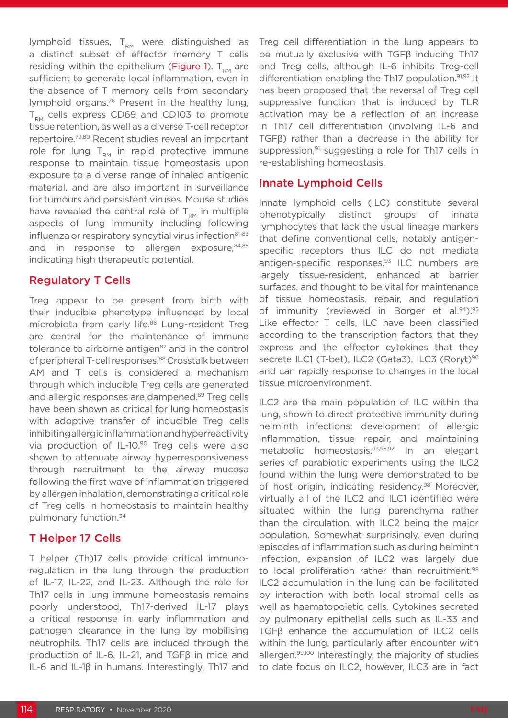lymphoid tissues,  $T_{RM}$  were distinguished as a distinct subset of effector memory T cells residing within the epithelium (Figure 1).  $T_{\text{em}}$  are sufficient to generate local inflammation, even in the absence of T memory cells from secondary lymphoid organs.78 Present in the healthy lung,  $T_{\text{DM}}$  cells express CD69 and CD103 to promote tissue retention, as well as a diverse T-cell receptor repertoire.79,80 Recent studies reveal an important role for lung  $T_{\text{RM}}$  in rapid protective immune response to maintain tissue homeostasis upon exposure to a diverse range of inhaled antigenic material, and are also important in surveillance for tumours and persistent viruses. Mouse studies have revealed the central role of  $T_{\text{RM}}$  in multiple aspects of lung immunity including following influenza or respiratory syncytial virus infection<sup>81-83</sup> and in response to allergen exposure, 84,85 indicating high therapeutic potential.

# Regulatory T Cells

Treg appear to be present from birth with their inducible phenotype influenced by local microbiota from early life.<sup>86</sup> Lung-resident Treg are central for the maintenance of immune tolerance to airborne antigen<sup>87</sup> and in the control of peripheral T-cell responses.<sup>88</sup> Crosstalk between AM and T cells is considered a mechanism through which inducible Treg cells are generated and allergic responses are dampened.<sup>89</sup> Treg cells have been shown as critical for lung homeostasis with adoptive transfer of inducible Treg cells inhibiting allergic inflammation and hyperreactivity via production of IL-10.<sup>90</sup> Treg cells were also shown to attenuate airway hyperresponsiveness through recruitment to the airway mucosa following the first wave of inflammation triggered by allergen inhalation, demonstrating a critical role of Treg cells in homeostasis to maintain healthy pulmonary function.34

# T Helper 17 Cells

T helper (Th)17 cells provide critical immunoregulation in the lung through the production of IL-17, IL-22, and IL-23. Although the role for Th17 cells in lung immune homeostasis remains poorly understood, Th17-derived IL-17 plays a critical response in early inflammation and pathogen clearance in the lung by mobilising neutrophils. Th17 cells are induced through the production of IL-6, IL-21, and TGFβ in mice and IL-6 and IL-1β in humans. Interestingly, Th17 and

Treg cell differentiation in the lung appears to be mutually exclusive with TGFβ inducing Th17 and Treg cells, although IL-6 inhibits Treg-cell differentiation enabling the Th17 population.<sup>91,92</sup> It has been proposed that the reversal of Treg cell suppressive function that is induced by TLR activation may be a reflection of an increase in Th17 cell differentiation (involving IL-6 and TGFβ) rather than a decrease in the ability for suppression,<sup>91</sup> suggesting a role for Th17 cells in re-establishing homeostasis.

# Innate Lymphoid Cells

Innate lymphoid cells (ILC) constitute several phenotypically distinct groups of innate lymphocytes that lack the usual lineage markers that define conventional cells, notably antigenspecific receptors thus ILC do not mediate antigen-specific responses.93 ILC numbers are largely tissue-resident, enhanced at barrier surfaces, and thought to be vital for maintenance of tissue homeostasis, repair, and regulation of immunity (reviewed in Borger et al.<sup>94</sup>).<sup>95</sup> Like effector T cells, ILC have been classified according to the transcription factors that they express and the effector cytokines that they secrete ILC1 (T-bet), ILC2 (Gata3), ILC3 (Rorγt)<sup>96</sup> and can rapidly response to changes in the local tissue microenvironment.

ILC2 are the main population of ILC within the lung, shown to direct protective immunity during helminth infections: development of allergic inflammation, tissue repair, and maintaining metabolic homeostasis.93,95,97 In an elegant series of parabiotic experiments using the ILC2 found within the lung were demonstrated to be of host origin, indicating residency.<sup>98</sup> Moreover, virtually all of the ILC2 and ILC1 identified were situated within the lung parenchyma rather than the circulation, with ILC2 being the major population. Somewhat surprisingly, even during episodes of inflammation such as during helminth infection, expansion of ILC2 was largely due to local proliferation rather than recruitment.<sup>98</sup> ILC2 accumulation in the lung can be facilitated by interaction with both local stromal cells as well as haematopoietic cells. Cytokines secreted by pulmonary epithelial cells such as IL-33 and TGFβ enhance the accumulation of ILC2 cells within the lung, particularly after encounter with allergen.<sup>99,100</sup> Interestingly, the majority of studies to date focus on ILC2, however, ILC3 are in fact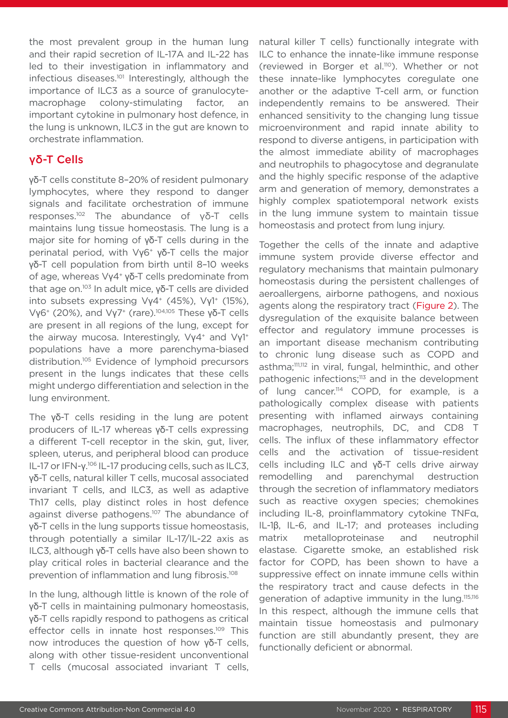the most prevalent group in the human lung and their rapid secretion of IL-17A and IL-22 has led to their investigation in inflammatory and infectious diseases.<sup>101</sup> Interestingly, although the importance of ILC3 as a source of granulocytemacrophage colony-stimulating factor, an important cytokine in pulmonary host defence, in the lung is unknown, ILC3 in the gut are known to orchestrate inflammation.

# γδ-T Cells

γδ-T cells constitute 8–20% of resident pulmonary lymphocytes, where they respond to danger signals and facilitate orchestration of immune responses.<sup>102</sup> The abundance of γδ-T cells maintains lung tissue homeostasis. The lung is a major site for homing of γδ-T cells during in the perinatal period, with Vγ6+ γδ-T cells the major γδ-T cell population from birth until 8–10 weeks of age, whereas Vγ4+ γδ-T cells predominate from that age on.103 In adult mice, γδ-T cells are divided into subsets expressing Vγ4<sup>+</sup> (45%), Vγ1<sup>+</sup> (15%), Vγ6+ (20%), and Vγ7+ (rare).104,105 These γδ-T cells are present in all regions of the lung, except for the airway mucosa. Interestingly, Vγ4<sup>+</sup> and Vγ1<sup>+</sup> populations have a more parenchyma-biased distribution.<sup>105</sup> Evidence of lymphoid precursors present in the lungs indicates that these cells might undergo differentiation and selection in the lung environment.

The γδ-T cells residing in the lung are potent producers of IL-17 whereas γδ-T cells expressing a different T-cell receptor in the skin, gut, liver, spleen, uterus, and peripheral blood can produce IL-17 or IFN-γ.<sup>106</sup> IL-17 producing cells, such as ILC3, γδ-T cells, natural killer T cells, mucosal associated invariant T cells, and ILC3, as well as adaptive Th17 cells, play distinct roles in host defence against diverse pathogens.<sup>107</sup> The abundance of γδ-T cells in the lung supports tissue homeostasis, through potentially a similar IL-17/IL-22 axis as ILC3, although γδ-T cells have also been shown to play critical roles in bacterial clearance and the prevention of inflammation and lung fibrosis.108

In the lung, although little is known of the role of γδ-T cells in maintaining pulmonary homeostasis, γδ-T cells rapidly respond to pathogens as critical effector cells in innate host responses.<sup>109</sup> This now introduces the question of how γδ-T cells, along with other tissue-resident unconventional T cells (mucosal associated invariant T cells, natural killer T cells) functionally integrate with ILC to enhance the innate-like immune response (reviewed in Borger et al.110). Whether or not these innate-like lymphocytes coregulate one another or the adaptive T-cell arm, or function independently remains to be answered. Their enhanced sensitivity to the changing lung tissue microenvironment and rapid innate ability to respond to diverse antigens, in participation with the almost immediate ability of macrophages and neutrophils to phagocytose and degranulate and the highly specific response of the adaptive arm and generation of memory, demonstrates a highly complex spatiotemporal network exists in the lung immune system to maintain tissue homeostasis and protect from lung injury.

Together the cells of the innate and adaptive immune system provide diverse effector and regulatory mechanisms that maintain pulmonary homeostasis during the persistent challenges of aeroallergens, airborne pathogens, and noxious agents along the respiratory tract (Figure 2). The dysregulation of the exquisite balance between effector and regulatory immune processes is an important disease mechanism contributing to chronic lung disease such as COPD and asthma;<sup>111,112</sup> in viral, fungal, helminthic, and other pathogenic infections;<sup>113</sup> and in the development of lung cancer.<sup>114</sup> COPD, for example, is a pathologically complex disease with patients presenting with inflamed airways containing macrophages, neutrophils, DC, and CD8 T cells. The influx of these inflammatory effector cells and the activation of tissue-resident cells including ILC and γδ-T cells drive airway remodelling and parenchymal destruction through the secretion of inflammatory mediators such as reactive oxygen species; chemokines including IL-8, proinflammatory cytokine TNFα, IL-1β, IL-6, and IL-17; and proteases including matrix metalloproteinase and neutrophil elastase. Cigarette smoke, an established risk factor for COPD, has been shown to have a suppressive effect on innate immune cells within the respiratory tract and cause defects in the generation of adaptive immunity in the lung.<sup>115,116</sup> In this respect, although the immune cells that maintain tissue homeostasis and pulmonary function are still abundantly present, they are functionally deficient or abnormal.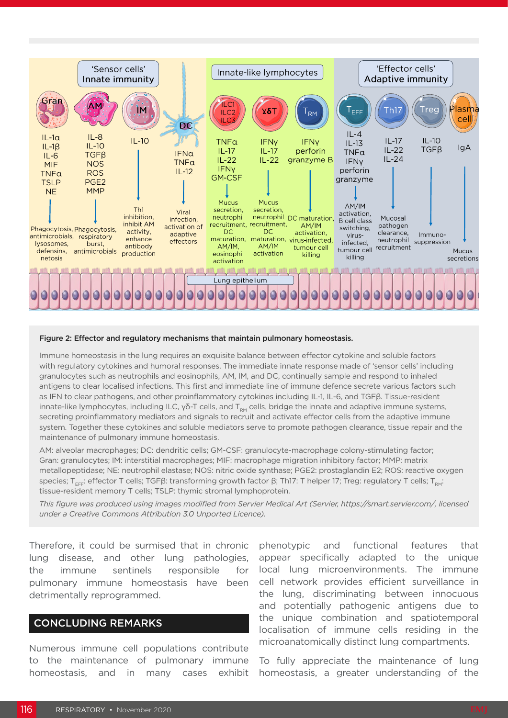

#### Figure 2: Effector and regulatory mechanisms that maintain pulmonary homeostasis.

Immune homeostasis in the lung requires an exquisite balance between effector cytokine and soluble factors with regulatory cytokines and humoral responses. The immediate innate response made of 'sensor cells' including granulocytes such as neutrophils and eosinophils, AM, IM, and DC, continually sample and respond to inhaled antigens to clear localised infections. This first and immediate line of immune defence secrete various factors such as IFN to clear pathogens, and other proinflammatory cytokines including IL-1, IL-6, and TGFβ. Tissue-resident innate-like lymphocytes, including ILC, γδ-T cells, and T<sub>RM</sub> cells, bridge the innate and adaptive immune systems, secreting proinflammatory mediators and signals to recruit and activate effector cells from the adaptive immune system. Together these cytokines and soluble mediators serve to promote pathogen clearance, tissue repair and the maintenance of pulmonary immune homeostasis.

AM: alveolar macrophages; DC: dendritic cells; GM-CSF: granulocyte-macrophage colony-stimulating factor; Gran: granulocytes; IM: interstitial macrophages; MIF: macrophage migration inhibitory factor; MMP: matrix metallopeptidase; NE: neutrophil elastase; NOS: nitric oxide synthase; PGE2: prostaglandin E2; ROS: reactive oxygen species; T<sub>FFF</sub>: effector T cells; TGFβ: transforming growth factor β; Th17: T helper 17; Treg: regulatory T cells; T<sub>pM</sub>: tissue-resident memory T cells; TSLP: thymic stromal lymphoprotein.

*This figure was produced using images modified from Servier Medical Art (Servier, https://smart.servier.com/, licensed under a Creative Commons Attribution 3.0 Unported Licence).*

Therefore, it could be surmised that in chronic lung disease, and other lung pathologies, the immune sentinels responsible for pulmonary immune homeostasis have been detrimentally reprogrammed.

#### CONCLUDING REMARKS

Numerous immune cell populations contribute to the maintenance of pulmonary immune homeostasis, and in many cases exhibit

phenotypic and functional features that appear specifically adapted to the unique local lung microenvironments. The immune cell network provides efficient surveillance in the lung, discriminating between innocuous and potentially pathogenic antigens due to the unique combination and spatiotemporal localisation of immune cells residing in the microanatomically distinct lung compartments.

To fully appreciate the maintenance of lung homeostasis, a greater understanding of the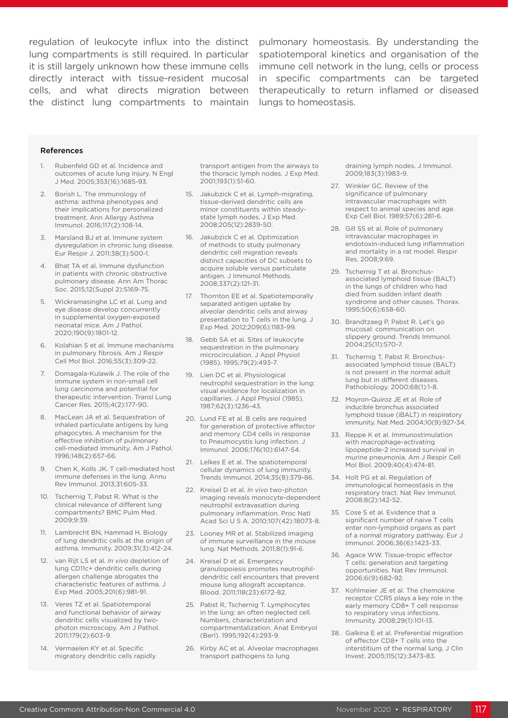it is still largely unknown how these immune cells directly interact with tissue-resident mucosal cells, and what directs migration between the distinct lung compartments to maintain

regulation of leukocyte influx into the distinct pulmonary homeostasis. By understanding the lung compartments is still required. In particular spatiotemporal kinetics and organisation of the immune cell network in the lung, cells or process in specific compartments can be targeted therapeutically to return inflamed or diseased lungs to homeostasis.

#### References

- 1. Rubenfeld GD et al. Incidence and outcomes of acute lung injury. N Engl J Med. 2005;353(16):1685-93.
- 2. Borish L. The immunology of asthma: asthma phenotypes and their implications for personalized treatment. Ann Allergy Asthma Immunol. 2016;117(2):108-14.
- 3. Marsland BJ et al. Immune system dysregulation in chronic lung disease. Eur Respir J. 2011;38(3):500-1.
- 4. Bhat TA et al. Immune dysfunction in patients with chronic obstructive pulmonary disease. Ann Am Thorac Soc. 2015;12(Suppl 2):S169-75.
- 5. Wickramasinghe LC et al. Lung and eye disease develop concurrently in supplemental oxygen-exposed neonatal mice. Am J Pathol. 2020;190(9):1801-12.
- 6. Kolahian S et al. Immune mechanisms in pulmonary fibrosis. Am J Respir Cell Mol Biol. 2016;55(3):309-22.
- 7. Domagala-Kulawik J. The role of the immune system in non-small cell lung carcinoma and potential for therapeutic intervention. Transl Lung Cancer Res. 2015;4(2):177-90.
- 8. MacLean JA et al. Sequestration of inhaled particulate antigens by lung phagocytes. A mechanism for the effective inhibition of pulmonary cell-mediated immunity. Am J Pathol. 1996;148(2):657-66.
- 9. Chen K, Kolls JK. T cell-mediated host immune defenses in the lung. Annu Rev Immunol. 2013;31:605-33.
- 10. Tschernig T, Pabst R. What is the clinical relevance of different lung compartments? BMC Pulm Med. 2009;9:39.
- 11. Lambrecht BN, Hammad H. Biology of lung dendritic cells at the origin of asthma. Immunity. 2009;31(3):412-24.
- 12. van Rijt LS et al. *In vivo* depletion of lung CD11c+ dendritic cells during allergen challenge abrogates the characteristic features of asthma. J Exp Med. 2005;201(6):981-91.
- 13. Veres TZ et al. Spatiotemporal and functional behavior of airway dendritic cells visualized by twophoton microscopy. Am J Pathol. 2011;179(2):603-9.
- 14. Vermaelen KY et al. Specific migratory dendritic cells rapidly

transport antigen from the airways to the thoracic lymph nodes. J Exp Med. 2001;193(1):51-60.

- 15. Jakubzick C et al. Lymph-migrating, tissue-derived dendritic cells are minor constituents within steadystate lymph nodes. J Exp Med. 2008;205(12):2839-50.
- 16. Jakubzick C et al. Optimization of methods to study pulmonary dendritic cell migration reveals distinct capacities of DC subsets to acquire soluble versus particulate antigen. J Immunol Methods. 2008;337(2):121-31.
- 17. Thornton EE et al. Spatiotemporally separated antigen uptake by alveolar dendritic cells and airway presentation to T cells in the lung. J Exp Med. 2012;209(6):1183-99.
- 18. Gebb SA et al. Sites of leukocyte sequestration in the pulmonary microcirculation. J Appl Physiol (1985). 1995;79(2):493-7.
- 19. Lien DC et al. Physiological neutrophil sequestration in the lung: visual evidence for localization in capillaries. J Appl Physiol (1985). 1987;62(3):1236-43.
- 20. Lund FE et al. B cells are required for generation of protective effector and memory CD4 cells in response to Pneumocystis lung infection. J Immunol. 2006;176(10):6147-54.
- 21. Lelkes E et al. The spatiotemporal cellular dynamics of lung immunity. Trends Immunol. 2014;35(8):379-86.
- 22. Kreisel D et al. *In vivo* two-photon imaging reveals monocyte-dependent neutrophil extravasation during pulmonary inflammation. Proc Natl Acad Sci U S A. 2010;107(42):18073-8.
- 23. Looney MR et al. Stabilized imaging of immune surveillance in the mouse lung. Nat Methods. 2011;8(1):91-6.
- 24. Kreisel D et al. Emergency granulopoiesis promotes neutrophildendritic cell encounters that prevent mouse lung allograft acceptance. Blood. 2011;118(23):6172-82.
- 25. Pabst R, Tschernig T. Lymphocytes in the lung: an often neglected cell. Numbers, characterization and compartmentalization. Anat Embryol (Berl). 1995;192(4):293-9.
- 26. Kirby AC et al. Alveolar macrophages transport pathogens to lung

draining lymph nodes. J Immunol. 2009;183(3):1983-9.

- 27. Winkler GC. Review of the significance of pulmonary intravascular macrophages with respect to animal species and age. Exp Cell Biol. 1989;57(6):281-6.
- 28. Gill SS et al. Role of pulmonary intravascular macrophages in endotoxin-induced lung inflammation and mortality in a rat model. Respir Res. 2008;9:69.
- 29. Tschernig T et al. Bronchusassociated lymphoid tissue (BALT) in the lungs of children who had died from sudden infant death syndrome and other causes. Thorax. 1995;50(6):658-60.
- 30. Brandtzaeg P, Pabst R. Let's go mucosal: communication on slippery ground. Trends Immunol. 2004;25(11):570-7.
- 31. Tschernig T, Pabst R. Bronchusassociated lymphoid tissue (BALT) is not present in the normal adult lung but in different diseases. Pathobiology. 2000;68(1):1-8.
- 32. Moyron-Quiroz JE et al. Role of inducible bronchus associated lymphoid tissue (iBALT) in respiratory immunity. Nat Med. 2004;10(9):927-34.
- 33. Reppe K et al. Immunostimulation with macrophage-activating lipopeptide-2 increased survival in murine pneumonia. Am J Respir Cell Mol Biol. 2009;40(4):474-81.
- 34. Holt PG et al. Regulation of immunological homeostasis in the respiratory tract. Nat Rev Immunol. 2008;8(2):142-52.
- 35. Cose S et al. Evidence that a significant number of naive T cells enter non-lymphoid organs as part of a normal migratory pathway. Eur J Immunol. 2006;36(6):1423-33.
- 36. Agace WW. Tissue-tropic effector T cells: generation and targeting opportunities. Nat Rev Immunol. 2006;6(9):682-92.
- 37. Kohlmeier JE et al. The chemokine receptor CCR5 plays a key role in the early memory CD8+ T cell response to respiratory virus infections. Immunity. 2008;29(1):101-13.
- 38. Galkina E et al. Preferential migration of effector CD8+ T cells into the interstitium of the normal lung. J Clin Invest. 2005;115(12):3473-83.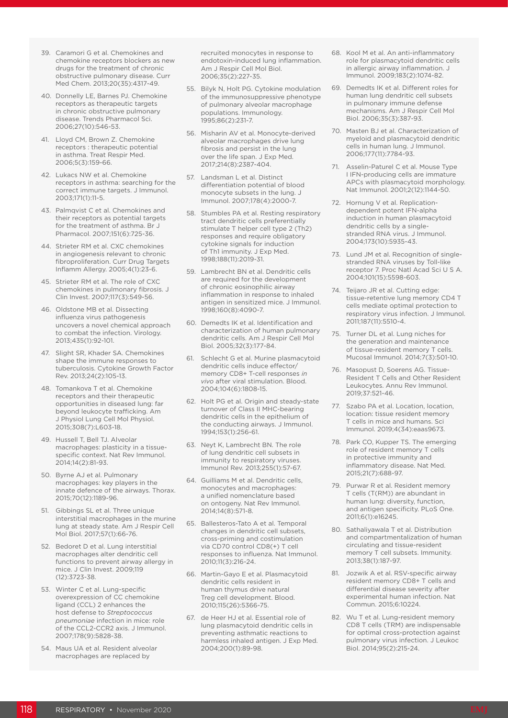- 39. Caramori G et al. Chemokines and chemokine receptors blockers as new drugs for the treatment of chronic obstructive pulmonary disease. Curr Med Chem. 2013;20(35):4317-49.
- 40. Donnelly LE, Barnes PJ. Chemokine receptors as therapeutic targets in chronic obstructive pulmonary disease. Trends Pharmacol Sci. 2006;27(10):546-53.
- 41. Lloyd CM, Brown Z. Chemokine receptors : therapeutic potential in asthma. Treat Respir Med. 2006;5(3):159-66.
- 42. Lukacs NW et al. Chemokine receptors in asthma: searching for the correct immune targets. J Immunol. 2003;171(1):11-5.
- 43. Palmqvist C et al. Chemokines and their receptors as potential targets for the treatment of asthma. Br J Pharmacol. 2007;151(6):725-36.
- 44. Strieter RM et al. CXC chemokines in angiogenesis relevant to chronic fibroproliferation. Curr Drug Targets Inflamm Allergy. 2005;4(1):23-6.
- 45. Strieter RM et al. The role of CXC chemokines in pulmonary fibrosis. J Clin Invest. 2007;117(3):549-56.
- 46. Oldstone MB et al. Dissecting influenza virus pathogenesis uncovers a novel chemical approach to combat the infection. Virology. 2013;435(1):92-101.
- 47. Slight SR, Khader SA. Chemokines shape the immune responses to tuberculosis. Cytokine Growth Factor Rev. 2013;24(2):105-13.
- 48. Tomankova T et al. Chemokine receptors and their therapeutic opportunities in diseased lung: far beyond leukocyte trafficking. Am J Physiol Lung Cell Mol Physiol. 2015;308(7):L603-18.
- 49. Hussell T, Bell TJ. Alveolar macrophages: plasticity in a tissuespecific context. Nat Rev Immunol. 2014;14(2):81-93.
- 50. Byrne AJ et al. Pulmonary macrophages: key players in the innate defence of the airways. Thorax. 2015;70(12):1189-96.
- 51. Gibbings SL et al. Three unique interstitial macrophages in the murine lung at steady state. Am J Respir Cell Mol Biol. 2017;57(1):66-76.
- 52. Bedoret D et al. Lung interstitial macrophages alter dendritic cell functions to prevent airway allergy in mice. J Clin Invest. 2009;119 (12):3723-38.
- 53. Winter C et al. Lung-specific overexpression of CC chemokine ligand (CCL) 2 enhances the host defense to *Streptococcus pneumoniae* infection in mice: role of the CCL2-CCR2 axis. J Immunol. 2007;178(9):5828-38.
- 54. Maus UA et al. Resident alveolar macrophages are replaced by

recruited monocytes in response to endotoxin-induced lung inflammation. Am J Respir Cell Mol Biol. 2006;35(2):227-35.

- 55. Bilyk N, Holt PG. Cytokine modulation of the immunosuppressive phenotype of pulmonary alveolar macrophage populations. Immunology. 1995;86(2):231-7.
- 56. Misharin AV et al. Monocyte-derived alveolar macrophages drive lung fibrosis and persist in the lung over the life span. J Exp Med. 2017;214(8):2387-404.
- 57. Landsman L et al. Distinct differentiation potential of blood monocyte subsets in the lung. J Immunol. 2007;178(4):2000-7.
- 58. Stumbles PA et al. Resting respiratory tract dendritic cells preferentially stimulate T helper cell type 2 (Th2) responses and require obligatory cytokine signals for induction of Th1 immunity. J Exp Med. 1998;188(11):2019-31.
- 59. Lambrecht BN et al. Dendritic cells are required for the development of chronic eosinophilic airway inflammation in response to inhaled antigen in sensitized mice. J Immunol. 1998;160(8):4090-7.
- 60. Demedts IK et al. Identification and characterization of human pulmonary dendritic cells. Am J Respir Cell Mol Biol. 2005;32(3):177-84.
- 61. Schlecht G et al. Murine plasmacytoid dendritic cells induce effector/ memory CD8+ T-cell responses *in vivo* after viral stimulation. Blood. 2004;104(6):1808-15.
- 62. Holt PG et al. Origin and steady-state turnover of Class II MHC-bearing dendritic cells in the epithelium of the conducting airways. J Immunol. 1994;153(1):256-61.
- 63. Neyt K, Lambrecht BN. The role of lung dendritic cell subsets in immunity to respiratory viruses. Immunol Rev. 2013;255(1):57-67.
- 64. Guilliams M et al. Dendritic cells, monocytes and macrophages: a unified nomenclature based on ontogeny. Nat Rev Immunol. 2014;14(8):571-8.
- 65. Ballesteros-Tato A et al. Temporal changes in dendritic cell subsets, cross-priming and costimulation via CD70 control CD8(+) T cell responses to influenza. Nat Immunol. 2010;11(3):216-24.
- 66. Martin-Gayo E et al. Plasmacytoid dendritic cells resident in human thymus drive natural Treg cell development. Blood. 2010;115(26):5366-75.
- 67. de Heer HJ et al. Essential role of lung plasmacytoid dendritic cells in preventing asthmatic reactions to harmless inhaled antigen. J Exp Med. 2004;200(1):89-98.
- 68. Kool M et al. An anti-inflammatory role for plasmacytoid dendritic cells in allergic airway inflammation. J Immunol. 2009;183(2):1074-82.
- 69. Demedts IK et al. Different roles for human lung dendritic cell subsets in pulmonary immune defense mechanisms. Am J Respir Cell Mol Biol. 2006;35(3):387-93.
- 70. Masten BJ et al. Characterization of myeloid and plasmacytoid dendritic cells in human lung. J Immunol. 2006;177(11):7784-93.
- 71. Asselin-Paturel C et al. Mouse Type I IFN-producing cells are immature APCs with plasmacytoid morphology. Nat Immunol. 2001;2(12):1144-50.
- 72. Hornung V et al. Replicationdependent potent IFN-alpha induction in human plasmacytoid dendritic cells by a singlestranded RNA virus. J Immunol. 2004;173(10):5935-43.
- 73. Lund JM et al. Recognition of singlestranded RNA viruses by Toll-like receptor 7. Proc Natl Acad Sci U S A. 2004;101(15):5598-603.
- 74. Teijaro JR et al. Cutting edge: tissue-retentive lung memory CD4 T cells mediate optimal protection to respiratory virus infection. J Immunol. 2011;187(11):5510-4.
- 75. Turner DL et al. Lung niches for the generation and maintenance of tissue-resident memory T cells. Mucosal Immunol. 2014;7(3):501-10.
- 76. Masopust D, Soerens AG. Tissue-Resident T Cells and Other Resident Leukocytes. Annu Rev Immunol. 2019;37:521-46.
- 77. Szabo PA et al. Location, location, location: tissue resident memory T cells in mice and humans. Sci Immunol. 2019;4(34):eaas9673.
- 78. Park CO, Kupper TS. The emerging role of resident memory T cells in protective immunity and inflammatory disease. Nat Med. 2015;21(7):688-97.
- 79. Purwar R et al. Resident memory T cells (T(RM)) are abundant in human lung: diversity, function, and antigen specificity. PLoS One. 2011;6(1):e16245.
- 80. Sathaliyawala T et al. Distribution and compartmentalization of human circulating and tissue-resident memory T cell subsets. Immunity. 2013;38(1):187-97.
- 81. Jozwik A et al. RSV-specific airway resident memory CD8+ T cells and differential disease severity after experimental human infection. Nat Commun. 2015;6:10224.
- 82. Wu T et al. Lung-resident memory CD8 T cells (TRM) are indispensable for optimal cross-protection against pulmonary virus infection. J Leukoc Biol. 2014;95(2):215-24.